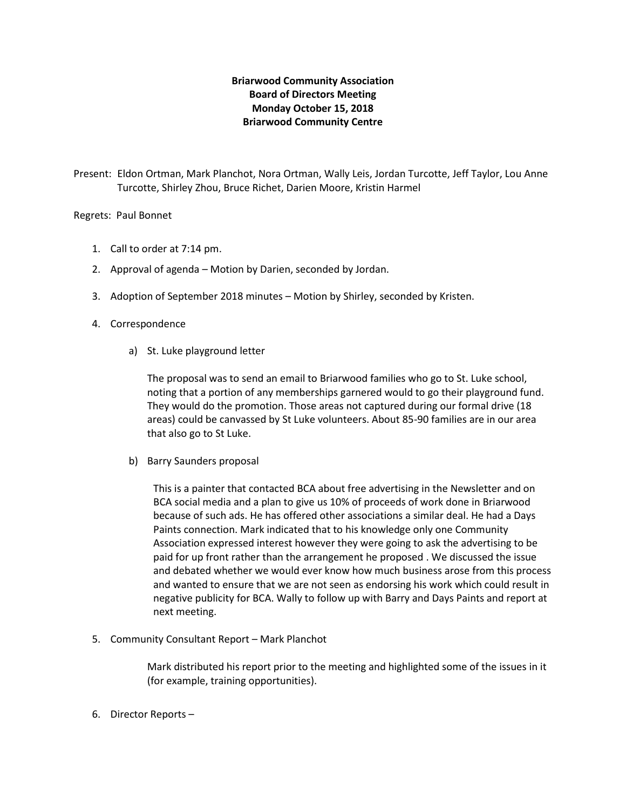## **Briarwood Community Association Board of Directors Meeting Monday October 15, 2018 Briarwood Community Centre**

Present: Eldon Ortman, Mark Planchot, Nora Ortman, Wally Leis, Jordan Turcotte, Jeff Taylor, Lou Anne Turcotte, Shirley Zhou, Bruce Richet, Darien Moore, Kristin Harmel

## Regrets: Paul Bonnet

- 1. Call to order at 7:14 pm.
- 2. Approval of agenda Motion by Darien, seconded by Jordan.
- 3. Adoption of September 2018 minutes Motion by Shirley, seconded by Kristen.
- 4. Correspondence
	- a) St. Luke playground letter

The proposal was to send an email to Briarwood families who go to St. Luke school, noting that a portion of any memberships garnered would to go their playground fund. They would do the promotion. Those areas not captured during our formal drive (18 areas) could be canvassed by St Luke volunteers. About 85-90 families are in our area that also go to St Luke.

b) Barry Saunders proposal

This is a painter that contacted BCA about free advertising in the Newsletter and on BCA social media and a plan to give us 10% of proceeds of work done in Briarwood because of such ads. He has offered other associations a similar deal. He had a Days Paints connection. Mark indicated that to his knowledge only one Community Association expressed interest however they were going to ask the advertising to be paid for up front rather than the arrangement he proposed . We discussed the issue and debated whether we would ever know how much business arose from this process and wanted to ensure that we are not seen as endorsing his work which could result in negative publicity for BCA. Wally to follow up with Barry and Days Paints and report at next meeting.

5. Community Consultant Report – Mark Planchot

Mark distributed his report prior to the meeting and highlighted some of the issues in it (for example, training opportunities).

6. Director Reports –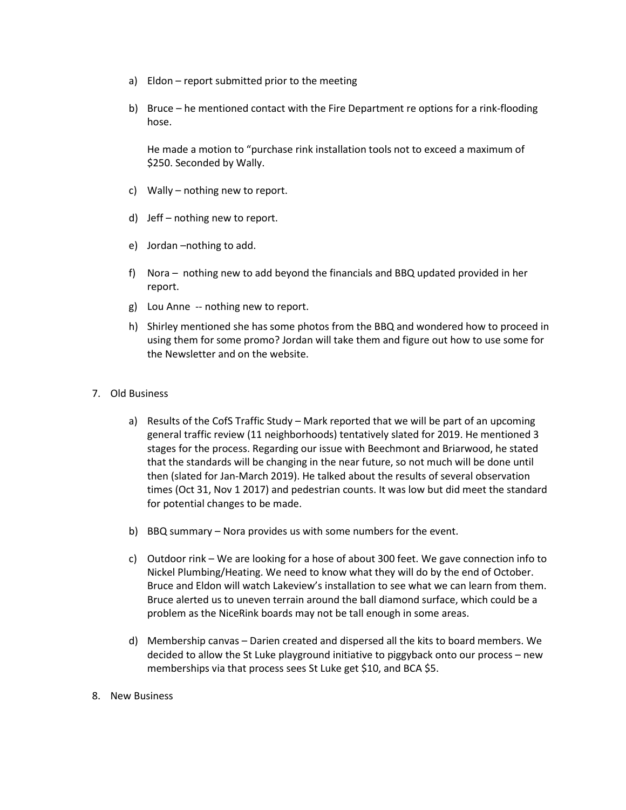- a) Eldon report submitted prior to the meeting
- b) Bruce he mentioned contact with the Fire Department re options for a rink-flooding hose.

He made a motion to "purchase rink installation tools not to exceed a maximum of \$250. Seconded by Wally.

- c) Wally nothing new to report.
- d) Jeff nothing new to report.
- e) Jordan –nothing to add.
- f) Nora nothing new to add beyond the financials and BBQ updated provided in her report.
- g) Lou Anne -- nothing new to report.
- h) Shirley mentioned she has some photos from the BBQ and wondered how to proceed in using them for some promo? Jordan will take them and figure out how to use some for the Newsletter and on the website.

## 7. Old Business

- a) Results of the CofS Traffic Study Mark reported that we will be part of an upcoming general traffic review (11 neighborhoods) tentatively slated for 2019. He mentioned 3 stages for the process. Regarding our issue with Beechmont and Briarwood, he stated that the standards will be changing in the near future, so not much will be done until then (slated for Jan-March 2019). He talked about the results of several observation times (Oct 31, Nov 1 2017) and pedestrian counts. It was low but did meet the standard for potential changes to be made.
- b) BBQ summary Nora provides us with some numbers for the event.
- c) Outdoor rink We are looking for a hose of about 300 feet. We gave connection info to Nickel Plumbing/Heating. We need to know what they will do by the end of October. Bruce and Eldon will watch Lakeview's installation to see what we can learn from them. Bruce alerted us to uneven terrain around the ball diamond surface, which could be a problem as the NiceRink boards may not be tall enough in some areas.
- d) Membership canvas Darien created and dispersed all the kits to board members. We decided to allow the St Luke playground initiative to piggyback onto our process – new memberships via that process sees St Luke get \$10, and BCA \$5.
- 8. New Business